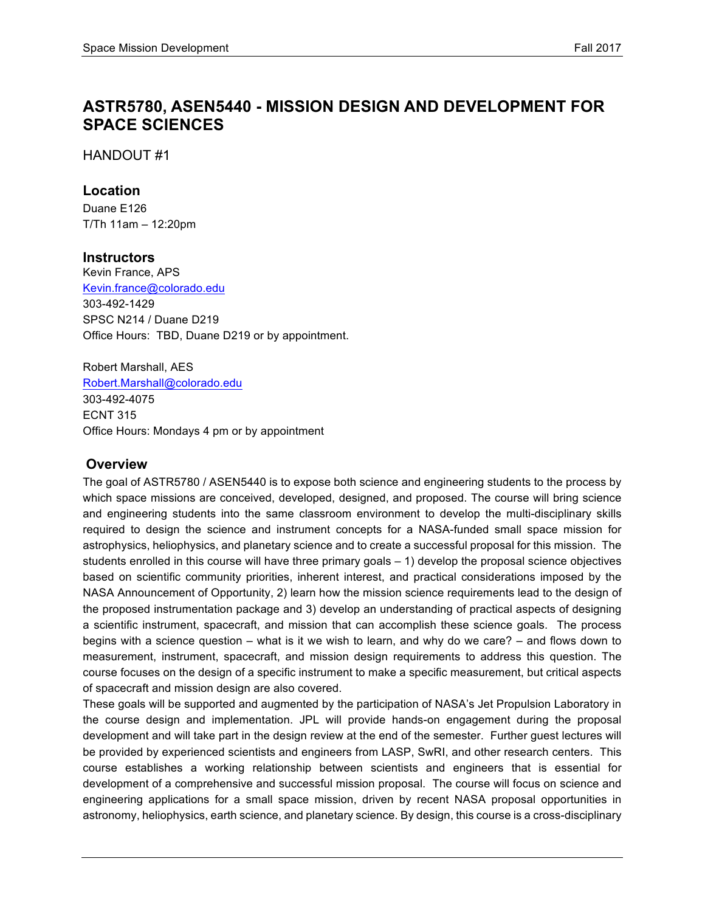# **ASTR5780, ASEN5440 - MISSION DESIGN AND DEVELOPMENT FOR SPACE SCIENCES**

HANDOUT #1

#### **Location**

Duane E126 T/Th 11am – 12:20pm

#### **Instructors**

Kevin France, APS Kevin.france@colorado.edu 303-492-1429 SPSC N214 / Duane D219 Office Hours: TBD, Duane D219 or by appointment.

Robert Marshall, AES Robert.Marshall@colorado.edu 303-492-4075 ECNT 315 Office Hours: Mondays 4 pm or by appointment

#### **Overview**

The goal of ASTR5780 / ASEN5440 is to expose both science and engineering students to the process by which space missions are conceived, developed, designed, and proposed. The course will bring science and engineering students into the same classroom environment to develop the multi-disciplinary skills required to design the science and instrument concepts for a NASA-funded small space mission for astrophysics, heliophysics, and planetary science and to create a successful proposal for this mission. The students enrolled in this course will have three primary goals – 1) develop the proposal science objectives based on scientific community priorities, inherent interest, and practical considerations imposed by the NASA Announcement of Opportunity, 2) learn how the mission science requirements lead to the design of the proposed instrumentation package and 3) develop an understanding of practical aspects of designing a scientific instrument, spacecraft, and mission that can accomplish these science goals. The process begins with a science question – what is it we wish to learn, and why do we care? – and flows down to measurement, instrument, spacecraft, and mission design requirements to address this question. The course focuses on the design of a specific instrument to make a specific measurement, but critical aspects of spacecraft and mission design are also covered.

These goals will be supported and augmented by the participation of NASA's Jet Propulsion Laboratory in the course design and implementation. JPL will provide hands-on engagement during the proposal development and will take part in the design review at the end of the semester. Further guest lectures will be provided by experienced scientists and engineers from LASP, SwRI, and other research centers. This course establishes a working relationship between scientists and engineers that is essential for development of a comprehensive and successful mission proposal. The course will focus on science and engineering applications for a small space mission, driven by recent NASA proposal opportunities in astronomy, heliophysics, earth science, and planetary science. By design, this course is a cross-disciplinary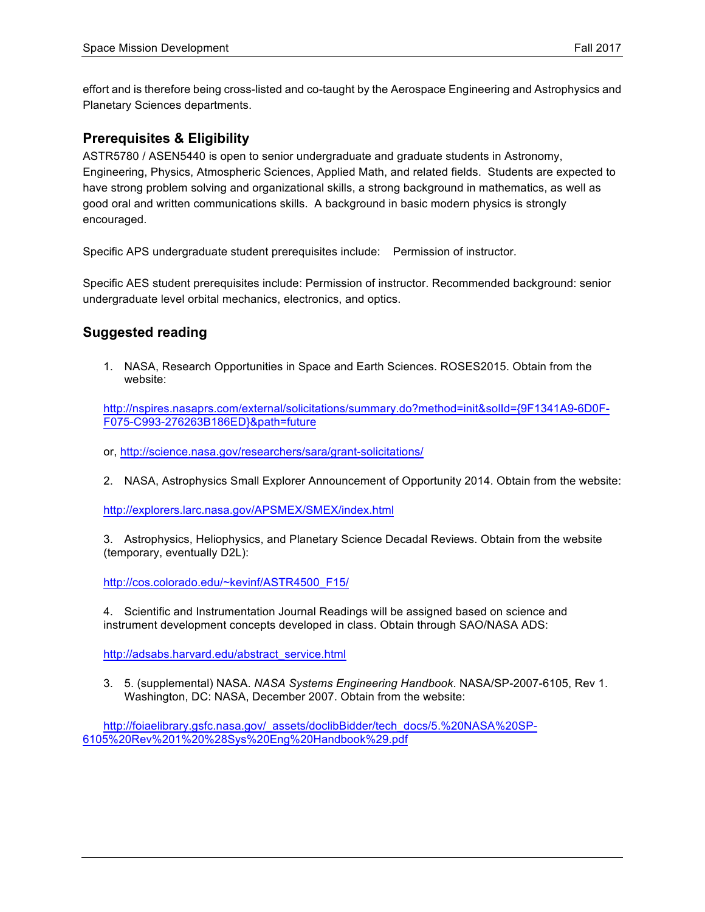effort and is therefore being cross-listed and co-taught by the Aerospace Engineering and Astrophysics and Planetary Sciences departments.

# **Prerequisites & Eligibility**

ASTR5780 / ASEN5440 is open to senior undergraduate and graduate students in Astronomy, Engineering, Physics, Atmospheric Sciences, Applied Math, and related fields. Students are expected to have strong problem solving and organizational skills, a strong background in mathematics, as well as good oral and written communications skills. A background in basic modern physics is strongly encouraged.

Specific APS undergraduate student prerequisites include: Permission of instructor.

Specific AES student prerequisites include: Permission of instructor. Recommended background: senior undergraduate level orbital mechanics, electronics, and optics.

# **Suggested reading**

1. NASA, Research Opportunities in Space and Earth Sciences. ROSES2015. Obtain from the website:

http://nspires.nasaprs.com/external/solicitations/summary.do?method=init&solId={9F1341A9-6D0F-F075-C993-276263B186ED}&path=future

- or, http://science.nasa.gov/researchers/sara/grant-solicitations/
- 2. NASA, Astrophysics Small Explorer Announcement of Opportunity 2014. Obtain from the website:

http://explorers.larc.nasa.gov/APSMEX/SMEX/index.html

3. Astrophysics, Heliophysics, and Planetary Science Decadal Reviews. Obtain from the website (temporary, eventually D2L):

http://cos.colorado.edu/~kevinf/ASTR4500\_F15/

4. Scientific and Instrumentation Journal Readings will be assigned based on science and instrument development concepts developed in class. Obtain through SAO/NASA ADS:

http://adsabs.harvard.edu/abstract\_service.html

3. 5. (supplemental) NASA. *NASA Systems Engineering Handbook*. NASA/SP-2007-6105, Rev 1. Washington, DC: NASA, December 2007. Obtain from the website:

http://foiaelibrary.gsfc.nasa.gov/\_assets/doclibBidder/tech\_docs/5.%20NASA%20SP-6105%20Rev%201%20%28Sys%20Eng%20Handbook%29.pdf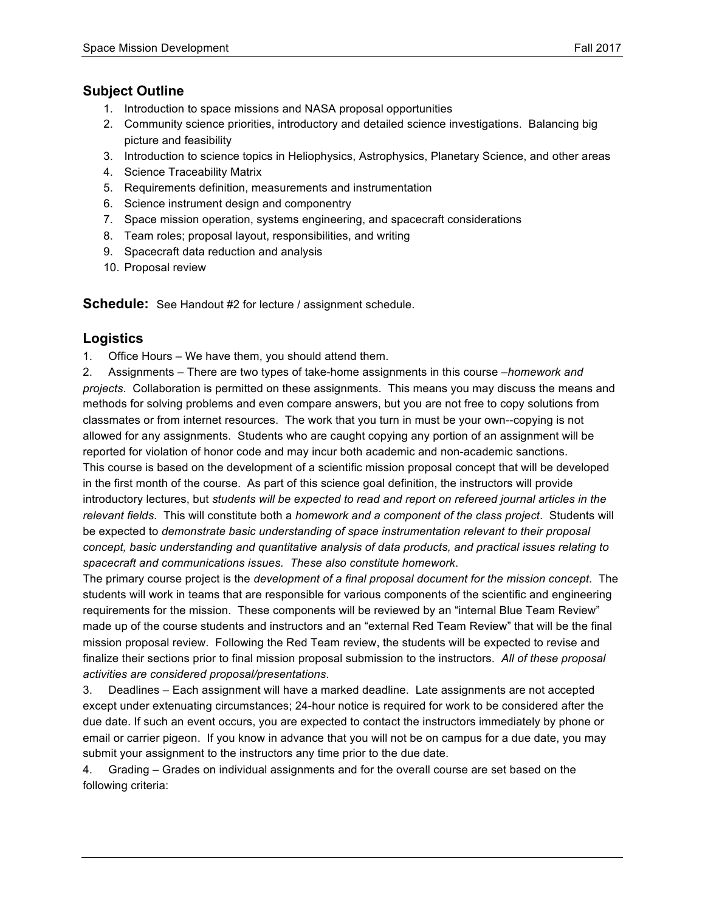#### **Subject Outline**

- 1. Introduction to space missions and NASA proposal opportunities
- 2. Community science priorities, introductory and detailed science investigations. Balancing big picture and feasibility
- 3. Introduction to science topics in Heliophysics, Astrophysics, Planetary Science, and other areas
- 4. Science Traceability Matrix
- 5. Requirements definition, measurements and instrumentation
- 6. Science instrument design and componentry
- 7. Space mission operation, systems engineering, and spacecraft considerations
- 8. Team roles; proposal layout, responsibilities, and writing
- 9. Spacecraft data reduction and analysis
- 10. Proposal review

**Schedule:** See Handout #2 for lecture / assignment schedule.

#### **Logistics**

1. Office Hours – We have them, you should attend them.

2. Assignments – There are two types of take-home assignments in this course –*homework and projects*. Collaboration is permitted on these assignments. This means you may discuss the means and methods for solving problems and even compare answers, but you are not free to copy solutions from classmates or from internet resources. The work that you turn in must be your own--copying is not allowed for any assignments. Students who are caught copying any portion of an assignment will be reported for violation of honor code and may incur both academic and non-academic sanctions. This course is based on the development of a scientific mission proposal concept that will be developed in the first month of the course. As part of this science goal definition, the instructors will provide introductory lectures, but *students will be expected to read and report on refereed journal articles in the relevant fields*. This will constitute both a *homework and a component of the class project*. Students will be expected to *demonstrate basic understanding of space instrumentation relevant to their proposal concept, basic understanding and quantitative analysis of data products, and practical issues relating to spacecraft and communications issues. These also constitute homework*.

The primary course project is the *development of a final proposal document for the mission concept*. The students will work in teams that are responsible for various components of the scientific and engineering requirements for the mission. These components will be reviewed by an "internal Blue Team Review" made up of the course students and instructors and an "external Red Team Review" that will be the final mission proposal review. Following the Red Team review, the students will be expected to revise and finalize their sections prior to final mission proposal submission to the instructors. *All of these proposal activities are considered proposal/presentations*.

3. Deadlines – Each assignment will have a marked deadline. Late assignments are not accepted except under extenuating circumstances; 24-hour notice is required for work to be considered after the due date. If such an event occurs, you are expected to contact the instructors immediately by phone or email or carrier pigeon. If you know in advance that you will not be on campus for a due date, you may submit your assignment to the instructors any time prior to the due date.

4. Grading – Grades on individual assignments and for the overall course are set based on the following criteria: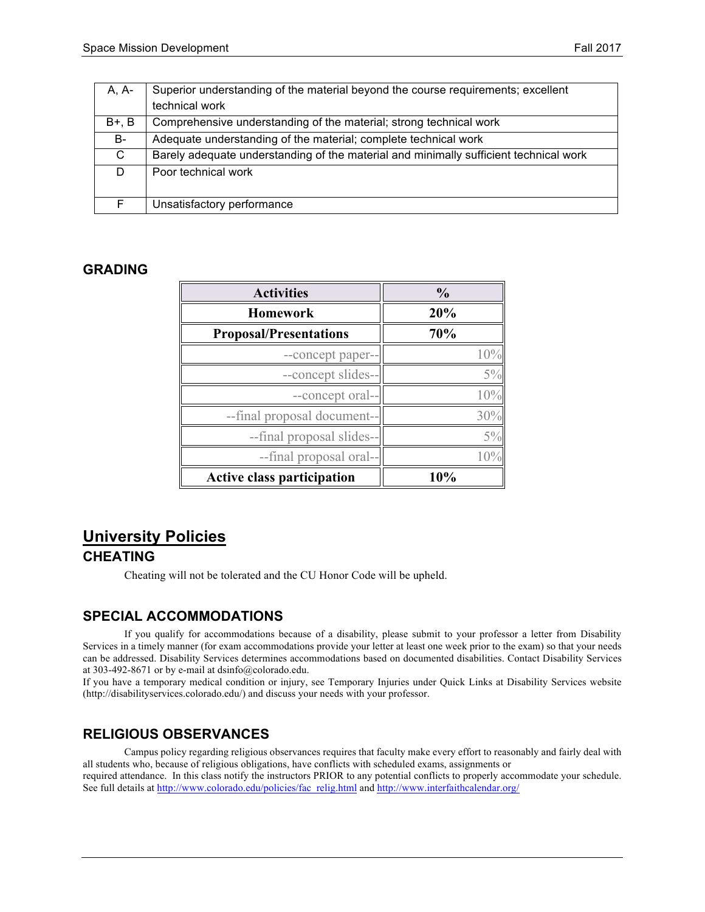| A, A-   | Superior understanding of the material beyond the course requirements; excellent      |
|---------|---------------------------------------------------------------------------------------|
|         | technical work                                                                        |
| $B+, B$ | Comprehensive understanding of the material; strong technical work                    |
| B-      | Adequate understanding of the material; complete technical work                       |
| C.      | Barely adequate understanding of the material and minimally sufficient technical work |
| D.      | Poor technical work                                                                   |
| F       | Unsatisfactory performance                                                            |

#### **GRADING**

| <b>Activities</b>                 | $\frac{0}{0}$ |
|-----------------------------------|---------------|
| Homework                          | 20%           |
| <b>Proposal/Presentations</b>     | 70%           |
| --concept paper--                 | $10^{0}$      |
| --concept slides--                | $5\%$         |
| --concept oral--                  | 10%           |
| --final proposal document--       | 30%           |
| --final proposal slides--         | $5\%$         |
| --final proposal oral--           |               |
| <b>Active class participation</b> | 10%           |

# **University Policies**

# **CHEATING**

Cheating will not be tolerated and the CU Honor Code will be upheld.

# **SPECIAL ACCOMMODATIONS**

If you qualify for accommodations because of a disability, please submit to your professor a letter from Disability Services in a timely manner (for exam accommodations provide your letter at least one week prior to the exam) so that your needs can be addressed. Disability Services determines accommodations based on documented disabilities. Contact Disability Services at 303-492-8671 or by e-mail at dsinfo@colorado.edu.

If you have a temporary medical condition or injury, see Temporary Injuries under Quick Links at Disability Services website (http://disabilityservices.colorado.edu/) and discuss your needs with your professor.

# **RELIGIOUS OBSERVANCES**

Campus policy regarding religious observances requires that faculty make every effort to reasonably and fairly deal with all students who, because of religious obligations, have conflicts with scheduled exams, assignments or required attendance. In this class notify the instructors PRIOR to any potential conflicts to properly accommodate your schedule. See full details at http://www.colorado.edu/policies/fac\_relig.html and http://www.interfaithcalendar.org/